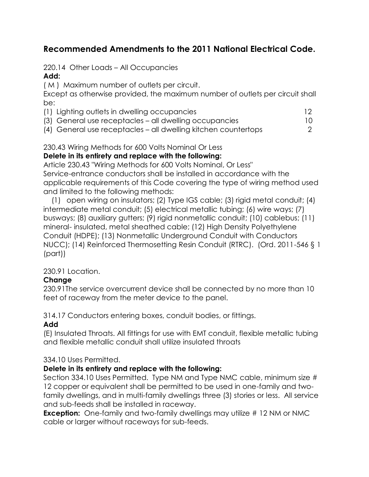# **Recommended Amendments to the 2011 National Electrical Code.**

### 220.14 Other Loads – All Occupancies

## **Add:**

( M ) Maximum number of outlets per circuit.

Except as otherwise provided, the maximum number of outlets per circuit shall be:

- (1) Lighting outlets in dwelling occupancies 12
- (3) General use receptacles all dwelling occupancies 10
- (4) General use receptacles all dwelling kitchen countertops 2

### 230.43 Wiring Methods for 600 Volts Nominal Or Less

#### **Delete in its entirety and replace with the following:**

Article 230.43 "Wiring Methods for 600 Volts Nominal, Or Less" Service-entrance conductors shall be installed in accordance with the applicable requirements of this Code covering the type of wiring method used and limited to the following methods:

 (1) open wiring on insulators; (2) Type IGS cable; (3) rigid metal conduit; (4) intermediate metal conduit; (5) electrical metallic tubing; (6) wire ways; (7) busways; (8) auxiliary gutters; (9) rigid nonmetallic conduit; (10) cablebus; (11) mineral- insulated, metal sheathed cable; (12) High Density Polyethylene Conduit (HDPE); (13) Nonmetallic Underground Conduit with Conductors NUCC); (14) Reinforced Thermosetting Resin Conduit (RTRC). (Ord. 2011-546 § 1 (part))

#### 230.91 Location.

## **Change**

230.91The service overcurrent device shall be connected by no more than 10 feet of raceway from the meter device to the panel.

314.17 Conductors entering boxes, conduit bodies, or fittings.

## **Add**

(E) Insulated Throats. All fittings for use with EMT conduit, flexible metallic tubing and flexible metallic conduit shall utilize insulated throats

## 334.10 Uses Permitted.

#### **Delete in its entirety and replace with the following:**

Section 334.10 Uses Permitted. Type NM and Type NMC cable, minimum size # 12 copper or equivalent shall be permitted to be used in one-family and twofamily dwellings, and in multi-family dwellings three (3) stories or less. All service and sub-feeds shall be installed in raceway.

**Exception:** One-family and two-family dwellings may utilize #12 NM or NMC cable or larger without raceways for sub-feeds.